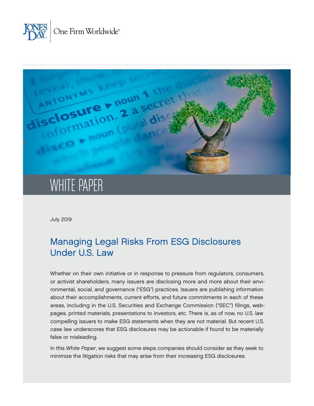



# WHITE PAPER

July 2019

# Managing Legal Risks From ESG Disclosures Under U.S. Law

Whether on their own initiative or in response to pressure from regulators, consumers, or activist shareholders, many issuers are disclosing more and more about their environmental, social, and governance ("ESG") practices. Issuers are publishing information about their accomplishments, current efforts, and future commitments in each of these areas, including in the U.S. Securities and Exchange Commission ("SEC") filings, webpages, printed materials, presentations to investors, etc. There is, as of now, no U.S. law compelling issuers to make ESG statements when they are not material. But recent U.S. case law underscores that ESG disclosures may be actionable if found to be materially false or misleading.

In this *White Paper*, we suggest some steps companies should consider as they seek to minimize the litigation risks that may arise from their increasing ESG disclosures.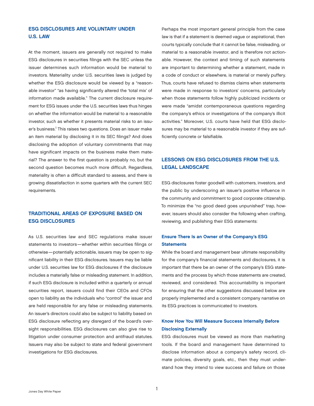# ESG DISCLOSURES ARE VOLUNTARY UNDER U.S. LAW

At the moment, issuers are generally not required to make ESG disclosures in securities filings with the SEC unless the issuer determines such information would be material to investors. Materiality under U.S. securities laws is judged by whether the ESG disclosure would be viewed by a "reasonable investor" "as having significantly altered the 'total mix' of information made available." The current disclosure requirement for ESG issues under the U.S. securities laws thus hinges on whether the information would be material to a reasonable investor, such as whether it presents material risks to an issuer's business.<sup>1</sup> This raises two questions. Does an issuer make an item material by disclosing it in its SEC filings? And does disclosing the adoption of voluntary commitments that may have significant impacts on the business make them material? The answer to the first question is probably no, but the second question becomes much more difficult. Regardless, materiality is often a difficult standard to assess, and there is growing dissatisfaction in some quarters with the current SEC requirements.

# TRADITIONAL AREAS OF EXPOSURE BASED ON ESG DISCLOSURES

As U.S. securities law and SEC regulations make issuer statements to investors—whether within securities filings or otherwise—potentially actionable, issuers may be open to significant liability in their ESG disclosures. Issuers may be liable under U.S. securities law for ESG disclosures if the disclosure includes a materially false or misleading statement. In addition, if such ESG disclosure is included within a quarterly or annual securities report, issuers could find their CEOs and CFOs open to liability as the individuals who "control" the issuer and are held responsible for any false or misleading statements. An issuer's directors could also be subject to liability based on ESG disclosure reflecting any disregard of the board's oversight responsibilities. ESG disclosures can also give rise to litigation under consumer protection and antifraud statutes. Issuers may also be subject to state and federal government investigations for ESG disclosures.

Perhaps the most important general principle from the case law is that if a statement is deemed vague or aspirational, then courts typically conclude that it cannot be false, misleading, or material to a reasonable investor, and is therefore not actionable. However, the context and timing of such statements are important to determining whether a statement, made in a code of conduct or elsewhere, is material or merely puffery. Thus, courts have refused to dismiss claims when statements were made in response to investors' concerns, particularly when those statements follow highly publicized incidents or were made "amidst contemporaneous questions regarding the company's ethics or investigations of the company's illicit activities." Moreover, U.S. courts have held that ESG disclosures may be material to a reasonable investor if they are sufficiently concrete or falsifiable.

# LESSONS ON ESG DISCLOSURES FROM THE U.S. LEGAL LANDSCAPE

ESG disclosures foster goodwill with customers, investors, and the public by underscoring an issuer's positive influence in the community and commitment to good corporate citizenship. To minimize the "no good deed goes unpunished" trap, however, issuers should also consider the following when crafting, reviewing, and publishing their ESG statements:

# Ensure There Is an Owner of the Company's ESG **Statements**

While the board and management bear ultimate responsibility for the company's financial statements and disclosures, it is important that there be an owner of the company's ESG statements and the process by which those statements are created, reviewed, and considered. This accountability is important for ensuring that the other suggestions discussed below are properly implemented and a consistent company narrative on its ESG practices is communicated to investors.

# Know How You Will Measure Success Internally Before Disclosing Externally

ESG disclosures must be viewed as more than marketing tools. If the board and management have determined to disclose information about a company's safety record, climate policies, diversity goals, etc., then they must understand how they intend to view success and failure on those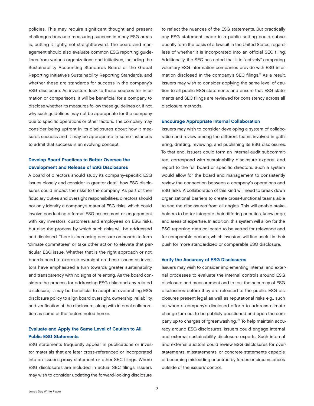policies. This may require significant thought and present challenges because measuring success in many ESG areas is, putting it lightly, not straightforward. The board and management should also evaluate common ESG reporting guidelines from various organizations and initiatives, including the Sustainability Accounting Standards Board or the Global Reporting Initiative's Sustainability Reporting Standards, and whether these are standards for success in the company's ESG disclosure. As investors look to these sources for information or comparisons, it will be beneficial for a company to disclose whether its measures follow these guidelines or, if not, why such guidelines may not be appropriate for the company due to specific operations or other factors. The company may consider being upfront in its disclosures about how it measures success and it may be appropriate in some instances to admit that success is an evolving concept.

# Develop Board Practices to Better Oversee the Development and Release of ESG Disclosures

A board of directors should study its company-specific ESG issues closely and consider in greater detail how ESG disclosures could impact the risks to the company. As part of their fiduciary duties and oversight responsibilities, directors should not only identify a company's material ESG risks, which could involve conducting a formal ESG assessment or engagement with key investors, customers and employees on ESG risks, but also the process by which such risks will be addressed and disclosed. There is increasing pressure on boards to form "climate committees" or take other action to elevate that particular ESG issue. Whether that is the right approach or not, boards need to exercise oversight on these issues as investors have emphasized a turn towards greater sustainability and transparency with no signs of relenting. As the board considers the process for addressing ESG risks and any related disclosure, it may be beneficial to adopt an overarching ESG disclosure policy to align board oversight, ownership, reliability, and verification of the disclosure, along with internal collaboration as some of the factors noted herein.

# Evaluate and Apply the Same Level of Caution to All Public ESG Statements

ESG statements frequently appear in publications or investor materials that are later cross-referenced or incorporated into an issuer's proxy statement or other SEC filings. Where ESG disclosures are included in actual SEC filings, issuers may wish to consider updating the forward-looking disclosure

to reflect the nuances of the ESG statements. But practically any ESG statement made in a public setting could subsequently form the basis of a lawsuit in the United States, regardless of whether it is incorporated into an official SEC filing. Additionally, the SEC has noted that it is "actively" comparing voluntary ESG information companies provide with ESG information disclosed in the company's SEC filings.<sup>2</sup> As a result, issuers may wish to consider applying the same level of caution to all public ESG statements and ensure that ESG statements and SEC filings are reviewed for consistency across all disclosure methods.

#### Encourage Appropriate Internal Collaboration

Issuers may wish to consider developing a system of collaboration and review among the different teams involved in gathering, drafting, reviewing, and publishing its ESG disclosures. To that end, issuers could form an internal audit subcommittee, correspond with sustainability disclosure experts, and report to the full board or specific directors. Such a system would allow for the board and management to consistently review the connection between a company's operations and ESG risks. A collaboration of this kind will need to break down organizational barriers to create cross-functional teams able to see the disclosures from all angles. This will enable stakeholders to better integrate their differing priorities, knowledge, and areas of expertise. In addition, this system will allow for the ESG reporting data collected to be vetted for relevance and for comparable periods, which investors will find useful in their push for more standardized or comparable ESG disclosure.

#### Verify the Accuracy of ESG Disclosures

Issuers may wish to consider implementing internal and external processes to evaluate the internal controls around ESG disclosure and measurement and to test the accuracy of ESG disclosures before they are released to the public. ESG disclosures present legal as well as reputational risks e.g., such as when a company's disclosed efforts to address climate change turn out to be publicly questioned and open the company up to charges of "greenwashing."<sup>3</sup> To help maintain accuracy around ESG disclosures, issuers could engage internal and external sustainability disclosure experts. Such internal and external auditors could review ESG disclosures for overstatements, misstatements, or concrete statements capable of becoming misleading or untrue by forces or circumstances outside of the issuers' control.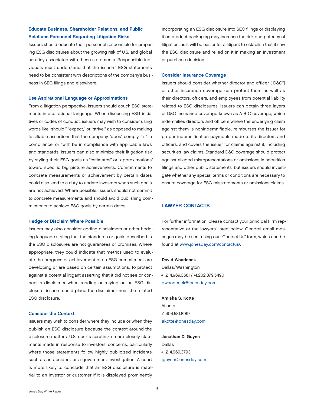# Educate Business, Shareholder Relations, and Public Relations Personnel Regarding Litigation Risks

Issuers should educate their personnel responsible for preparing ESG disclosures about the growing risk of U.S. and global scrutiny associated with these statements. Responsible individuals must understand that the issuers' ESG statements need to be consistent with descriptions of the company's business in SEC filings and elsewhere.

#### Use Aspirational Language or Approximations

From a litigation perspective, issuers should couch ESG statements in aspirational language. When discussing ESG initiatives or codes of conduct, issuers may wish to consider using words like "should," "expect," or "strive," as opposed to making falsifiable assertions that the company "does" comply, "is" in compliance, or "will" be in compliance with applicable laws and standards. Issuers can also minimize their litigation risk by styling their ESG goals as "estimates" or "approximations" toward specific big picture achievements. Commitments to concrete measurements or achievement by certain dates could also lead to a duty to update investors when such goals are not achieved. Where possible, issuers should not commit to concrete measurements and should avoid publishing commitments to achieve ESG goals by certain dates.

#### Hedge or Disclaim Where Possible

Issuers may also consider adding disclaimers or other hedging language stating that the standards or goals described in the ESG disclosures are not guarantees or promises. Where appropriate, they could indicate that metrics used to evaluate the progress or achievement of an ESG commitment are developing or are based on certain assumptions. To protect against a potential litigant asserting that it did not see or connect a disclaimer when reading or relying on an ESG disclosure, issuers could place the disclaimer near the related ESG disclosure.

#### Consider the Context

Issuers may wish to consider where they include or when they publish an ESG disclosure because the context around the disclosure matters. U.S. courts scrutinize more closely statements made in response to investors' concerns, particularly where those statements follow highly publicized incidents, such as an accident or a government investigation. A court is more likely to conclude that an ESG disclosure is material to an investor or customer if it is displayed prominently.

Incorporating an ESG disclosure into SEC filings or displaying it on product packaging may increase the risk and potency of litigation, as it will be easier for a litigant to establish that it saw the ESG disclosure and relied on it in making an investment or purchase decision.

#### Consider Insurance Coverage

Issuers should consider whether director and officer ("D&O") or other insurance coverage can protect them as well as their directors, officers, and employees from potential liability related to ESG disclosures. Issuers can obtain three layers of D&O insurance coverage known as A-B-C coverage, which indemnifies directors and officers where the underlying claim against them is nonindemnifiable, reimburses the issuer for proper indemnification payments made to its directors and officers, and covers the issuer for claims against it, including securities law claims. Standard D&O coverage should protect against alleged misrepresentations or omissions in securities filings and other public statements, but issuers should investigate whether any special terms or conditions are necessary to ensure coverage for ESG misstatements or omissions claims.

#### LAWYER CONTACTS

For further information, please contact your principal Firm representative or the lawyers listed below. General email messages may be sent using our "Contact Us" form, which can be found at [www.jonesday.com/contactus/](http://www.jonesday.com/contactus/).

#### David Woodcock

Dallas/Washington +1.214.969.3681 / +1.202.879.5490 [dwoodcock@jonesday.com](mailto:dwoodcock@jonesday.com)

Amisha S. Kotte Atlanta +1.404.581.8997 [akotte@jonesday.com](mailto:akotte@jonesday.com)

Jonathan D. Guynn Dallas +1.214.969.3793 [jguynn@jonesday.com](mailto:jguynn@jonesday.com)